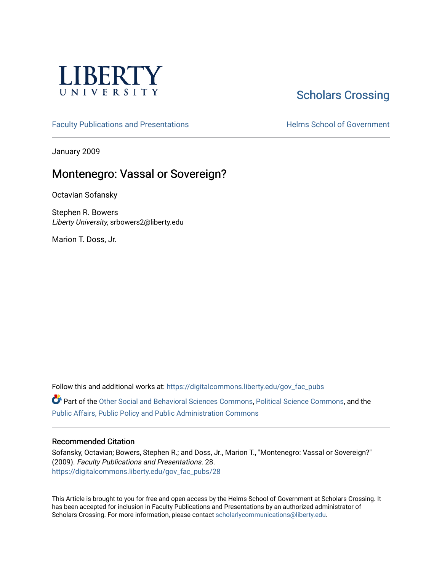

#### [Scholars Crossing](https://digitalcommons.liberty.edu/)

[Faculty Publications and Presentations](https://digitalcommons.liberty.edu/gov_fac_pubs) **Exercise School of Government** 

January 2009

#### Montenegro: Vassal or Sovereign?

Octavian Sofansky

Stephen R. Bowers Liberty University, srbowers2@liberty.edu

Marion T. Doss, Jr.

Follow this and additional works at: [https://digitalcommons.liberty.edu/gov\\_fac\\_pubs](https://digitalcommons.liberty.edu/gov_fac_pubs?utm_source=digitalcommons.liberty.edu%2Fgov_fac_pubs%2F28&utm_medium=PDF&utm_campaign=PDFCoverPages) Part of the [Other Social and Behavioral Sciences Commons](http://network.bepress.com/hgg/discipline/437?utm_source=digitalcommons.liberty.edu%2Fgov_fac_pubs%2F28&utm_medium=PDF&utm_campaign=PDFCoverPages), [Political Science Commons](http://network.bepress.com/hgg/discipline/386?utm_source=digitalcommons.liberty.edu%2Fgov_fac_pubs%2F28&utm_medium=PDF&utm_campaign=PDFCoverPages), and the [Public Affairs, Public Policy and Public Administration Commons](http://network.bepress.com/hgg/discipline/393?utm_source=digitalcommons.liberty.edu%2Fgov_fac_pubs%2F28&utm_medium=PDF&utm_campaign=PDFCoverPages)

#### Recommended Citation

Sofansky, Octavian; Bowers, Stephen R.; and Doss, Jr., Marion T., "Montenegro: Vassal or Sovereign?" (2009). Faculty Publications and Presentations. 28. [https://digitalcommons.liberty.edu/gov\\_fac\\_pubs/28](https://digitalcommons.liberty.edu/gov_fac_pubs/28?utm_source=digitalcommons.liberty.edu%2Fgov_fac_pubs%2F28&utm_medium=PDF&utm_campaign=PDFCoverPages) 

This Article is brought to you for free and open access by the Helms School of Government at Scholars Crossing. It has been accepted for inclusion in Faculty Publications and Presentations by an authorized administrator of Scholars Crossing. For more information, please contact [scholarlycommunications@liberty.edu.](mailto:scholarlycommunications@liberty.edu)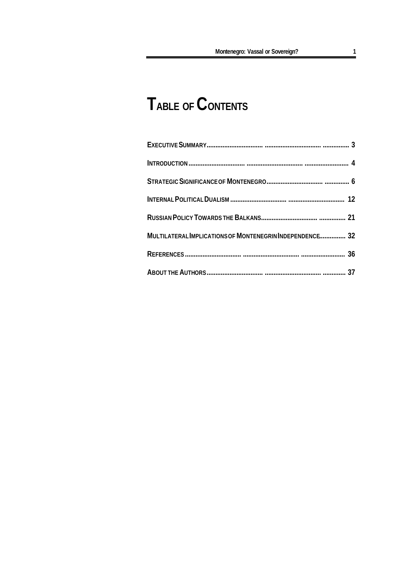# **TABLE OF CONTENTS**

| <b>MULTILATERAL IMPLICATIONS OF MONTENEGRIN INDEPENDENCE 32</b> |  |
|-----------------------------------------------------------------|--|
|                                                                 |  |
|                                                                 |  |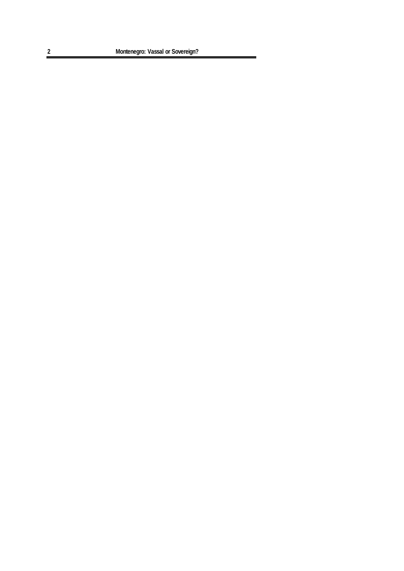**Montenegro: Vassal or Sovereign?**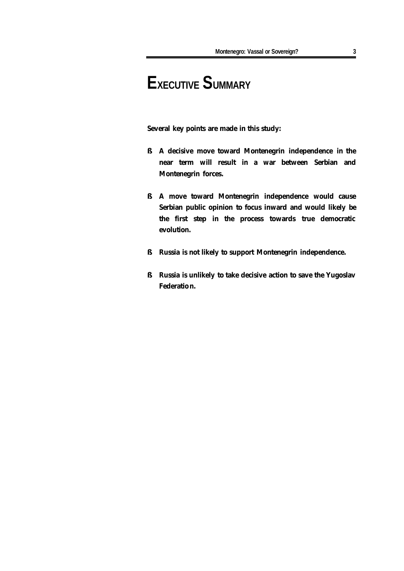## **EXECUTIVE SUMMARY**

**Several key points are made in this study:** 

- **§ A decisive move toward Montenegrin independence in the near term will result in a war between Serbian and Montenegrin forces.**
- **§ A move toward Montenegrin independence would cause Serbian public opinion to focus inward and would likely be the first step in the process towards true democratic evolution.**
- **§ Russia is not likely to support Montenegrin independence.**
- **§ Russia is unlikely to take decisive action to save the Yugoslav Federation.**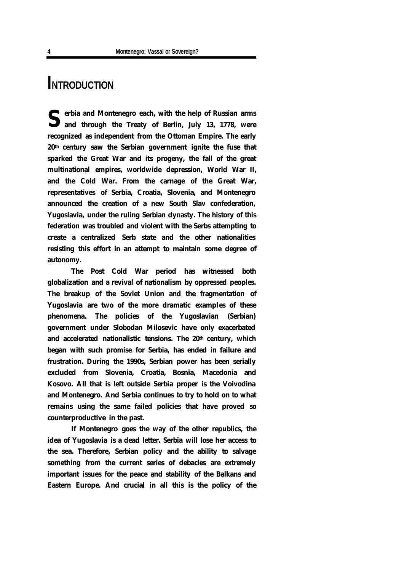#### **INTRODUCTION**

**erbia and Montenegro each, with the help of Russian arms and through the Treaty of Berlin, July 13, 1778, were** and through the Treaty of Berlin, July 13, 1778, were **recognized as independent from the Ottoman Empire. The early 20th century saw the Serbian government ignite the fuse that sparked the Great War and its progeny, the fall of the great multinational empires, worldwide depression, World War II, and the Cold War. From the carnage of the Great War, representatives of Serbia, Croatia, Slovenia, and Montenegro announced the creation of a new South Slav confederation, Yugoslavia, under the ruling Serbian dynasty. The history of this federation was troubled and violent with the Serbs attempting to create a centralized Serb state and the other nationalities resisting this effort in an attempt to maintain some degree of autonomy.**

**The Post Cold War period has witnessed both globalization and a revival of nationalism by oppressed peoples. The breakup of the Soviet Union and the fragmentation of Yugoslavia are two of the more dramatic examples of these phenomena. The policies of the Yugoslavian (Serbian) government under Slobodan Milosevic have only exacerbated and accelerated nationalistic tensions. The 20th century, which began with such promise for Serbia, has ended in failure and frustration. During the 1990s, Serbian power has been serially excluded from Slovenia, Croatia, Bosnia, Macedonia and Kosovo. All that is left outside Serbia proper is the Voivodina and Montenegro. And Serbia continues to try to hold on to what remains using the same failed policies that have proved so counterproductive in the past.**

**If Montenegro goes the way of the other republics, the idea of Yugoslavia is a dead letter. Serbia will lose her access to the sea. Therefore, Serbian policy and the ability to salvage something from the current series of debacles are extremely important issues for the peace and stability of the Balkans and Eastern Europe. And crucial in all this is the policy of the**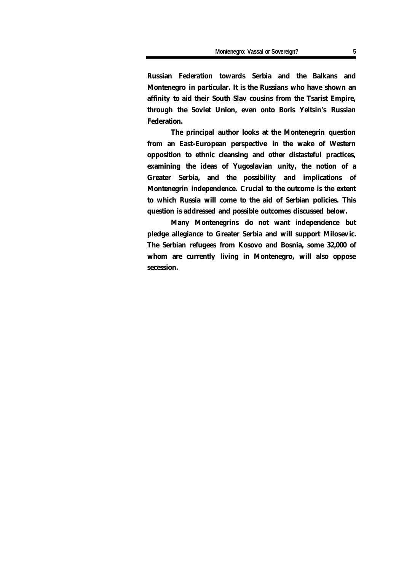**Russian Federation towards Serbia and the Balkans and Montenegro in particular. It is the Russians who have shown an affinity to aid their South Slav cousins from the Tsarist Empire, through the Soviet Union, even onto Boris Yeltsin's Russian Federation.**

**The principal author looks at the Montenegrin question from an East-European perspective in the wake of Western opposition to ethnic cleansing and other distasteful practices, examining the ideas of Yugoslavian unity, the notion of a Greater Serbia, and the possibility and implications of Montenegrin independence. Crucial to the outcome is the extent to which Russia will come to the aid of Serbian policies. This question is addressed and possible outcomes discussed below.**

**Many Montenegrins do not want independence but pledge allegiance to Greater Serbia and will support Milosevic. The Serbian refugees from Kosovo and Bosnia, some 32,000 of whom are currently living in Montenegro, will also oppose secession.**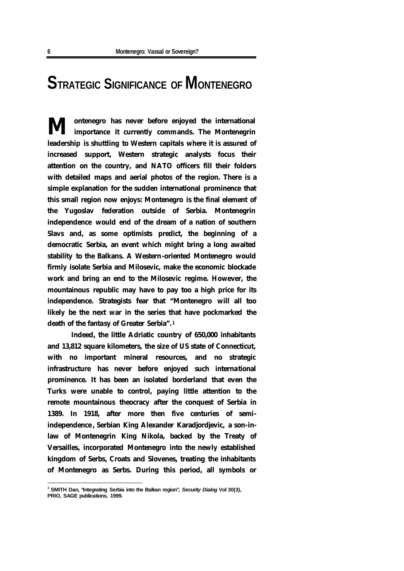#### **STRATEGIC SIGNIFICANCE OF MONTENEGRO**

**ontenegro has never before enjoyed the international importance it currently commands. The Montenegrin leadership is shuttling to Western capitals where it is assured of increased support, Western strategic analysts focus their attention on the country, and NATO officers fill their folders with detailed maps and aerial photos of the region. There is a simple explanation for the sudden international prominence that this small region now enjoys: Montenegro is the final element of the Yugoslav federation outside of Serbia. Montenegrin independence would end of the dream of a nation of southern Slavs and, as some optimists predict, the beginning of a democratic Serbia, an event which might bring a long awaited stability to the Balkans. A Western-oriented Montenegro would firmly isolate Serbia and Milosevic, make the economic blockade work and bring an end to the Milosevic regime. However, the mountainous republic may have to pay too a high price for its independence. Strategists fear that "Montenegro will all too likely be the next war in the series that have pockmarked the death of the fantasy of Greater Serbia". <sup>1</sup> M**

**Indeed, the little Adriatic country of 650,000 inhabitants and 13,812 square kilometers, the size of US state of Connecticut, with no important mineral resources, and no strategic infrastructure has never before enjoyed such international prominence. It has been an isolated borderland that even the Turks were unable to control, paying little attention to the remote mountainous theocracy after the conquest of Serbia in 1389. In 1918, after more then five centuries of semiindependence , Serbian King Alexander Karadjordjevic, a son-inlaw of Montenegrin King Nikola, backed by the Treaty of Versailles, incorporated Montenegro into the newly established kingdom of Serbs, Croats and Slovenes, treating the inhabitants of Montenegro as Serbs. During this period, all symbols or** 

**<sup>1</sup> SMITH Dan, "Integrating Serbia into the Balkan region",** *Security Dialog* **Vol 30(3),** 

**PRIO, SAGE publications, 1999.**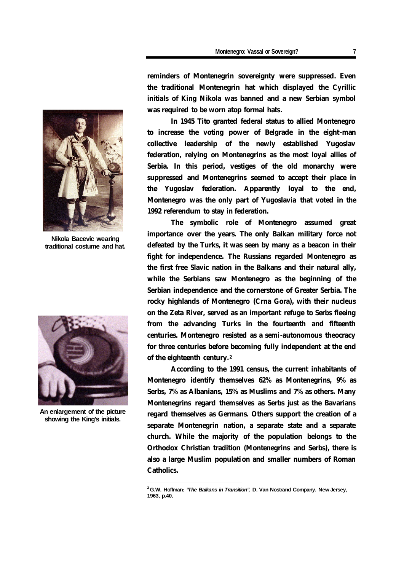

**Nikola Bacevic wearing traditional costume and hat.**



**An enlargement of the picture showing the King's initials.**

**reminders of Montenegrin sovereignty were suppressed. Even the traditional Montenegrin hat which displayed the Cyrillic initials of King Nikola was banned and a new Serbian symbol was required to be worn atop formal hats.** 

**In 1945 Tito granted federal status to allied Montenegro to increase the voting power of Belgrade in the eight-man collective leadership of the newly established Yugoslav federation, relying on Montenegrins as the most loyal allies of Serbia. In this period, vestiges of the old monarchy were suppressed and Montenegrins seemed to accept their place in the Yugoslav federation. Apparently loyal to the end, Montenegro was the only part of Yugoslavia that voted in the 1992 referendum to stay in federation.** 

**The symbolic role of Montenegro assumed great importance over the years. The only Balkan military force not defeated by the Turks, it was seen by many as a beacon in their fight for independence. The Russians regarded Montenegro as the first free Slavic nation in the Balkans and their natural ally, while the Serbians saw Montenegro as the beginning of the Serbian independence and the cornerstone of Greater Serbia. The rocky highlands of Montenegro (Crna Gora), with their nucleus on the Zeta River, served as an important refuge to Serbs fleeing from the advancing Turks in the fourteenth and fifteenth centuries. Montenegro resisted as a semi-autonomous theocracy for three centuries before becoming fully independent at the end of the eighteenth century. <sup>2</sup>**

**According to the 1991 census, the current inhabitants of Montenegro identify themselves 62% as Montenegrins, 9% as Serbs, 7% as Albanians, 15% as Muslims and 7% as others. Many Montenegrins regard themselves as Serbs just as the Bavarians regard themselves as Germans. Others support the creation of a separate Montenegrin nation, a separate state and a separate church. While the majority of the population belongs to the Orthodox Christian tradition (Montenegrins and Serbs), there is also a large Muslim population and smaller numbers of Roman Catholics.**

**<sup>2</sup> G.W. Hoffman:** *"The Balkans in Transition",* **D. Van Nostrand Company. New Jersey, 1963, p.40.**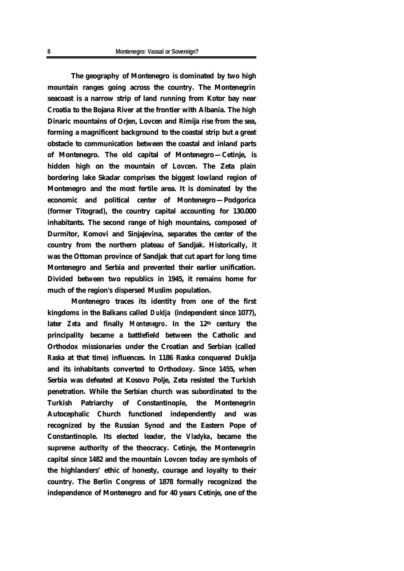**The geography of Montenegro is dominated by two high mountain ranges going across the country. The Montenegrin seacoast is a narrow strip of land running from Kotor bay near Croatia to the Bojana River at the frontier with Albania. The high Dinaric mountains of Orjen, Lovcen and Rimija rise from the sea, forming a magnificent background to the coastal strip but a great obstacle to communication between the coastal and inland parts of Montenegro. The old capital of Montenegro—Cetinje, is hidden high on the mountain of Lovcen. The Zeta plain bordering lake Skadar comprises the biggest lowland region of Montenegro and the most fertile area. It is dominated by the economic and political center of Montenegro—Podgorica (former Titograd), the country capital accounting for 130.000 inhabitants. The second range of high mountains, composed of Durmitor, Komovi and Sinjajevina, separates the center of the country from the northern plateau of Sandjak. Historically, it was the Ottoman province of Sandjak that cut apart for long time Montenegro and Serbia and prevented their earlier unification. Divided between two republics in 1945, it remains home for much of the region's dispersed Muslim population.**

**Montenegro traces its identity from one of the first kingdoms in the Balkans called** *Duklja* **(independent since 1077), later** *Zeta* **and finally** *Montenegro* **. In the 12th century the principality became a battlefield between the Catholic and Orthodox missionaries under the Croatian and Serbian (called**  *Raska* **at that time) influences. In 1186 Raska conquered Duklja and its inhabitants converted to Orthodoxy. Since 1455, when Serbia was defeated at Kosovo Polje, Zeta resisted the Turkish penetration. While the Serbian church was subordinated to the Turkish Patriarchy of Constantinople, the Montenegrin Autocephalic Church functioned independently and was recognized by the Russian Synod and the Eastern Pope of Constantinople. Its elected leader, the** *Vladyka***, became the supreme authority of the theocracy. Cetinje, the Montenegrin capital since 1482 and the mountain Lovcen today are symbols of the highlanders' ethic of honesty, courage and loyalty to their country. The Berlin Congress of 1878 formally recognized the independence of Montenegro and for 40 years Cetinje, one of the**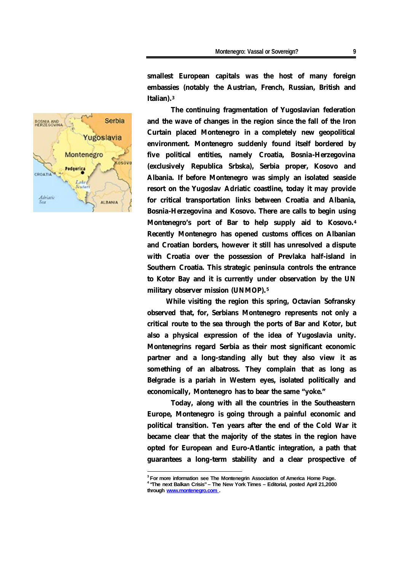**smallest European capitals was the host of many foreign embassies (notably the Austrian, French, Russian, British and Italian). <sup>3</sup>**

**The continuing fragmentation of Yugoslavian federation and the wave of changes in the region since the fall of the Iron Curtain placed Montenegro in a completely new geopolitical environment. Montenegro suddenly found itself bordered by five political entities, namely Croatia, Bosnia-Herzegovina (exclusively Republica Srbska), Serbia proper, Kosovo and Albania. If before Montenegro was simply an isolated seaside resort on the Yugoslav Adriatic coastline, today it may provide for critical transportation links between Croatia and Albania, Bosnia-Herzegovina and Kosovo. There are calls to begin using Montenegro's port of Bar to help supply aid to Kosovo. <sup>4</sup> Recently Montenegro has opened customs offices on Albanian and Croatian borders, however it still has unresolved a dispute with Croatia over the possession of Prevlaka half-island in Southern Croatia. This strategic peninsula controls the entrance to Kotor Bay and it is currently under observation by the UN military observer mission (UNMOP). <sup>5</sup>**

**While visiting the region this spring, Octavian Sofransky observed that, for, Serbians Montenegro represents not only a critical route to the sea through the ports of Bar and Kotor, but also a physical expression of the idea of Yugoslavia unity. Montenegrins regard Serbia as their most significant economic partner and a long-standing ally but they also view it as something of an albatross. They complain that as long as Belgrade is a pariah in Western eyes, isolated politically and economically, Montenegro has to bear the same "yoke."**

**Today, along with all the countries in the Southeastern Europe, Montenegro is going through a painful economic and political transition. Ten years after the end of the Cold War it became clear that the majority of the states in the region have opted for European and Euro-Atlantic integration, a path that guarantees a long-term stability and a clear prospective of** 



**<sup>3</sup> For more information see The Montenegrin Association of America Home Page. 4 "The next Balkan Crisis" – The New York Times – Editorial, posted April 21,2000 through <www.montenegro.com> .**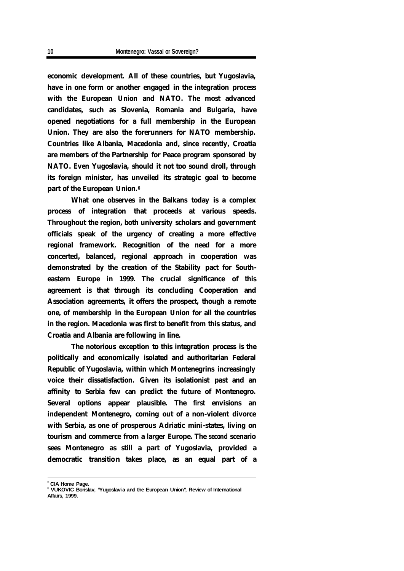**economic development. All of these countries, but Yugoslavia, have in one form or another engaged in the integration process with the European Union and NATO. The most advanced candidates, such as Slovenia, Romania and Bulgaria, have opened negotiations for a full membership in the European Union. They are also the forerunners for NATO membership. Countries like Albania, Macedonia and, since recently, Croatia are members of the Partnership for Peace program sponsored by NATO. Even Yugoslavia, should it not too sound droll, through its foreign minister, has unveiled its strategic goal to become part of the European Union. <sup>6</sup>**

**What one observes in the Balkans today is a complex process of integration that proceeds at various speeds. Throughout the region, both university scholars and government officials speak of the urgency of creating a more effective regional framework. Recognition of the need for a more concerted, balanced, regional approach in cooperation was demonstrated by the creation of the Stability pact for Southeastern Europe in 1999. The crucial significance of this agreement is that through its concluding Cooperation and Association agreements, it offers the prospect, though a remote one, of membership in the European Union for all the countries in the region. Macedonia was first to benefit from this status, and Croatia and Albania are following in line.**

**The notorious exception to this integration process is the politically and economically isolated and authoritarian Federal Republic of Yugoslavia, within which Montenegrins increasingly voice their dissatisfaction. Given its isolationist past and an affinity to Serbia few can predict the future of Montenegro. Several options appear plausible. The** *first* **envisions an independent Montenegro, coming out of a non-violent divorce with Serbia, as one of prosperous Adriatic mini-states, living on tourism and commerce from a larger Europe. The** *second* **scenario sees Montenegro as still a part of Yugoslavia, provided a democratic transition takes place, as an equal part of a** 

**<sup>5</sup> CIA Home Page.**

**<sup>6</sup> VUKOVIC Borislav, "Yugoslavi a and the European Union", Review of International Affairs, 1999.**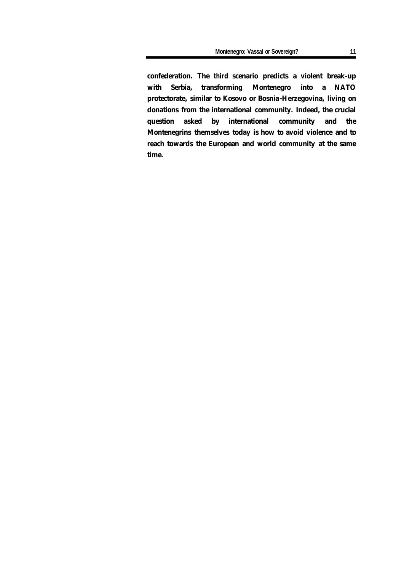**confederation. The** *third* **scenario predicts a violent break-up with Serbia, transforming Montenegro into a NATO protectorate, similar to Kosovo or Bosnia-Herzegovina, living on donations from the international community. Indeed, the crucial question asked by international community and the Montenegrins themselves today is how to avoid violence and to reach towards the European and world community at the same time.**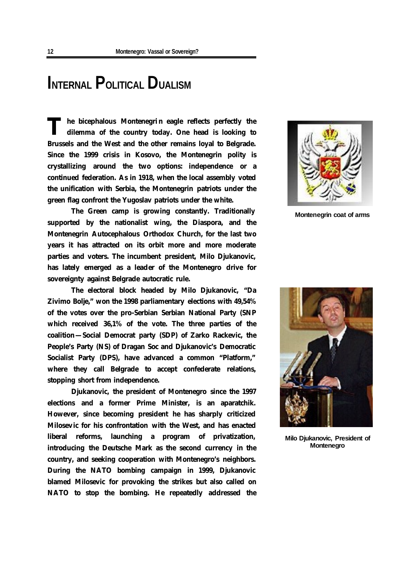#### **INTERNAL POLITICAL DUALISM**

**he bicephalous Montenegri n eagle reflects perfectly the dilemma of the country today. One head is looking to Brussels and the West and the other remains loyal to Belgrade. Since the 1999 crisis in Kosovo, the Montenegrin polity is crystallizing around the two options: independence or a continued federation. As in 1918, when the local assembly voted the unification with Serbia, the Montenegrin patriots under the green flag confront the Yugoslav patriots under the white. T**

**The Green camp is growing constantly. Traditionally supported by the nationalist wing, the Diaspora, and the Montenegrin Autocephalous Orthodox Church, for the last two years it has attracted on its orbit more and more moderate parties and voters. The incumbent president, Milo Djukanovic, has lately emerged as a leader of the Montenegro drive for sovereignty against Belgrade autocratic rule.**

**The electoral block headed by Milo Djukanovic, "Da Zivimo Bolje," won the 1998 parliamentary elections with 49,54% of the votes over the pro-Serbian Serbian National Party (SNP which received 36,1% of the vote. The three parties of the coalition—Social Democrat party (SDP) of Zarko Rackevic, the People's Party (NS) of Dragan Soc and Djukanovic's Democratic Socialist Party (DPS), have advanced a common "Platform," where they call Belgrade to accept confederate relations, stopping short from independence.** 

**Djukanovic, the president of Montenegro since the 1997 elections and a former Prime Minister, is an aparatchik. However, since becoming president he has sharply criticized Milosevic for his confrontation with the West, and has enacted liberal reforms, launching a program of privatization, introducing the Deutsche Mark as the second currency in the country, and seeking cooperation with Montenegro's neighbors. During the NATO bombing campaign in 1999, Djukanovic blamed Milosevic for provoking the strikes but also called on NATO to stop the bombing. He repeatedly addressed the** 



**Montenegrin coat of arms**



**Milo Djukanovic, President of Montenegro**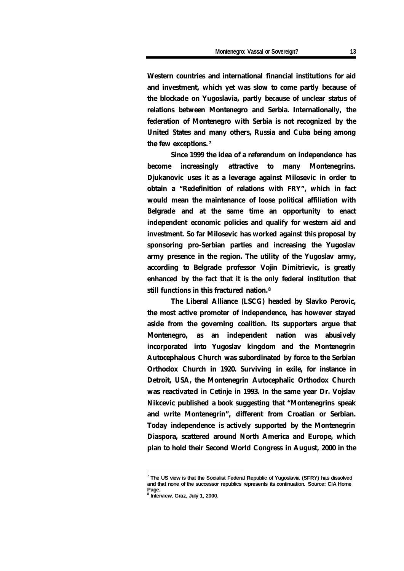**Western countries and international financial institutions for aid and investment, which yet was slow to come partly because of the blockade on Yugoslavia, partly because of unclear status of relations between Montenegro and Serbia. Internationally, the federation of Montenegro with Serbia is not recognized by the United States and many others, Russia and Cuba being among the few exceptions. <sup>7</sup>**

**Since 1999 the idea of a referendum on independence has become increasingly attractive to many Montenegrins. Djukanovic uses it as a leverage against Milosevic in order to obtain a "Redefinition of relations with FRY", which in fact would mean the maintenance of loose political affiliation with Belgrade and at the same time an opportunity to enact independent economic policies and qualify for western aid and investment. So far Milosevic has worked against this proposal by sponsoring pro-Serbian parties and increasing the Yugoslav army presence in the region. The utility of the Yugoslav army, according to Belgrade professor Vojin Dimitrievic, is greatly enhanced by the fact that it is the only federal institution that still functions in this fractured nation. <sup>8</sup>**

**The Liberal Alliance (LSCG) headed by Slavko Perovic, the most active promoter of independence, has however stayed aside from the governing coalition. Its supporters argue that Montenegro, as an independent nation was abusively incorporated into Yugoslav kingdom and the Montenegrin Autocephalous Church was subordinated by force to the Serbian Orthodox Church in 1920. Surviving in exile, for instance in Detroit, USA, the Montenegrin Autocephalic Orthodox Church was reactivated in Cetinje in 1993. In the same year Dr. Vojslav Nikcevic published a book suggesting that "Montenegrins speak and write Montenegrin", different from Croatian or Serbian. Today independence is actively supported by the Montenegrin Diaspora, scattered around North America and Europe, which plan to hold their Second World Congress in August, 2000 in the** 

**<sup>7</sup> The US view is that the Socialist Federal Republic of Yugoslavia (SFRY) has dissolved and that none of the successor republics represents its continuation. Source: CIA Home Page.**

**<sup>8</sup> Interview, Graz, July 1, 2000.**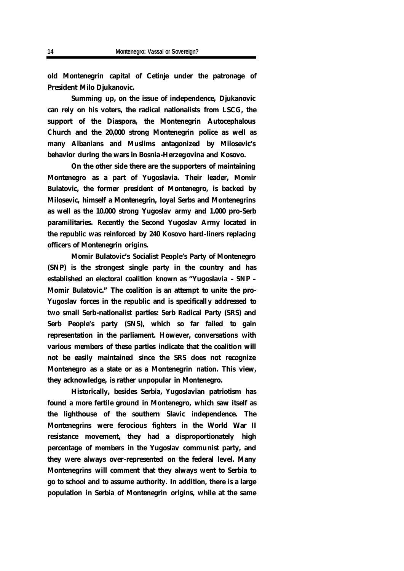**old Montenegrin capital of Cetinje under the patronage of President Milo Djukanovic.** 

**Summing up, on the issue of independence, Djukanovic can rely on his voters, the radical nationalists from LSCG, the support of the Diaspora, the Montenegrin Autocephalous Church and the 20,000 strong Montenegrin police as well as many Albanians and Muslims antagonized by Milosevic's behavior during the wars in Bosnia-Herzegovina and Kosovo.**

**On the other side there are the supporters of maintaining Montenegro as a part of Yugoslavia. Their leader, Momir Bulatovic, the former president of Montenegro, is backed by Milosevic, himself a Montenegrin, loyal Serbs and Montenegrins as well as the 10.000 strong Yugoslav army and 1.000 pro-Serb paramilitaries. Recently the Second Yugoslav Army located in the republic was reinforced by 240 Kosovo hard-liners replacing officers of Montenegrin origins.**

**Momir Bulatovic's Socialist People's Party of Montenegro (SNP) is the strongest single party in the country and has established an electoral coalition known as "Yugoslavia – SNP – Momir Bulatovic." The coalition is an attempt to unite the pro-Yugoslav forces in the republic and is specifically addressed to two small Serb-nationalist parties: Serb Radical Party (SRS) and Serb People's party (SNS), which so far failed to gain representation in the parliament. However, conversations with various members of these parties indicate that the coalition will not be easily maintained since the SRS does not recognize Montenegro as a state or as a Montenegrin nation. This view, they acknowledge, is rather unpopular in Montenegro.** 

**Historically, besides Serbia, Yugoslavian patriotism has found a more fertile ground in Montenegro, which saw itself as the lighthouse of the southern Slavic independence. The Montenegrins were ferocious fighters in the World War II resistance movement, they had a disproportionately high percentage of members in the Yugoslav communist party, and they were always over-represented on the federal level. Many Montenegrins will comment that they always went to Serbia to go to school and to assume authority. In addition, there is a large population in Serbia of Montenegrin origins, while at the same**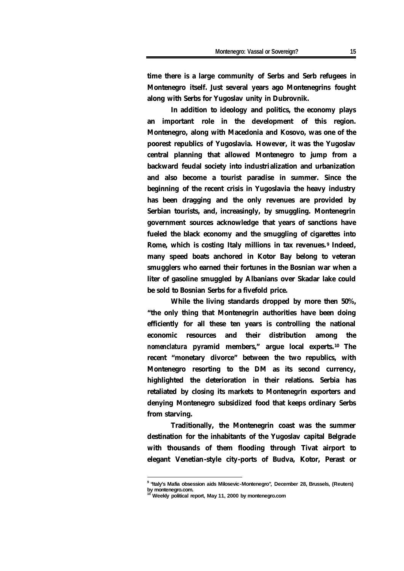**time there is a large community of Serbs and Serb refugees in Montenegro itself. Just several years ago Montenegrins fought along with Serbs for Yugoslav unity in Dubrovnik.** 

**In addition to ideology and politics, the economy plays an important role in the development of this region. Montenegro, along with Macedonia and Kosovo, was one of the poorest republics of Yugoslavia. However, it was the Yugoslav central planning that allowed Montenegro to jump from a backward feudal society into industrialization and urbanization and also become a tourist paradise in summer. Since the beginning of the recent crisis in Yugoslavia the heavy industry has been dragging and the only revenues are provided by Serbian tourists, and, increasingly, by smuggling. Montenegrin government sources acknowledge that years of sanctions have fueled the black economy and the smuggling of cigarettes into Rome, which is costing Italy millions in tax revenues. <sup>9</sup> Indeed, many speed boats anchored in Kotor Bay belong to veteran smugglers who earned their fortunes in the Bosnian war when a liter of gasoline smuggled by Albanians over Skadar lake could be sold to Bosnian Serbs for a fivefold price.**

**While the living standards dropped by more then 50%, "the only thing that Montenegrin authorities have been doing efficiently for all these ten years is controlling the national economic resources and their distribution among the**  *nomenclatura* **pyramid members," argue local experts. <sup>10</sup> The recent "monetary divorce" between the two republics, with Montenegro resorting to the DM as its second currency, highlighted the deterioration in their relations. Serbia has retaliated by closing its markets to Montenegrin exporters and denying Montenegro subsidized food that keeps ordinary Serbs from starving.**

**Traditionally, the Montenegrin coast was the summer destination for the inhabitants of the Yugoslav capital Belgrade with thousands of them flooding through Tivat airport to elegant Venetian-style city-ports of Budva, Kotor, Perast or** 

**<sup>9</sup> "Italy's Mafia obsession aids Milosevic-Montenegro", December 28, Brussels, (Reuters) by montenegro.com.**

**<sup>10</sup> Weekly political report, May 11, 2000 by montenegro.com**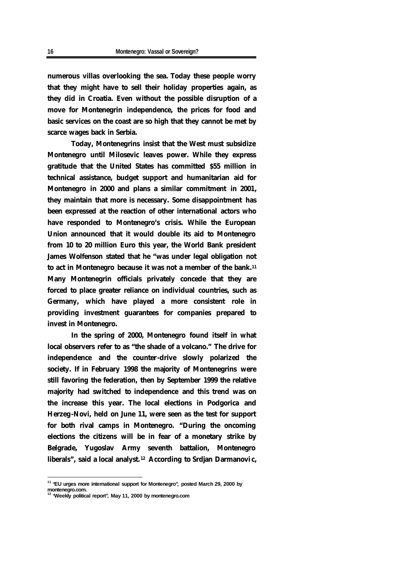**numerous villas overlooking the sea. Today these people worry that they might have to sell their holiday properties again, as they did in Croatia. Even without the possible disruption of a move for Montenegrin independence, the prices for food and basic services on the coast are so high that they cannot be met by scarce wages back in Serbia.** 

**Today, Montenegrins insist that the West must subsidize Montenegro until Milosevic leaves power. While they express gratitude that the United States has committed \$55 million in technical assistance, budget support and humanitarian aid for Montenegro in 2000 and plans a similar commitment in 2001, they maintain that more is necessary. Some disappointment has been expressed at the reaction of other international actors who have responded to Montenegro's crisis. While the European Union announced that it would double its aid to Montenegro from 10 to 20 million Euro this year, the World Bank president James Wolfenson stated that he "was under legal obligation not to act in Montenegro because it was not a member of the bank.<sup>11</sup> Many Montenegrin officials privately concede that they are forced to place greater reliance on individual countries, such as Germany, which have played a more consistent role in providing investment guarantees for companies prepared to invest in Montenegro.** 

**In the spring of 2000, Montenegro found itself in what local observers refer to as "the shade of a volcano." The drive for independence and the counter-drive slowly polarized the society. If in February 1998 the majority of Montenegrins were still favoring the federation, then by September 1999 the relative majority had switched to independence and this trend was on the increase this year. The local elections in Podgorica and Herzeg-Novi, held on June 11, were seen as the test for support for both rival camps in Montenegro. "During the oncoming elections the citizens will be in fear of a monetary strike by Belgrade, Yugoslav Army seventh battalion, Montenegro liberals", said a local analyst. <sup>12</sup> According to Srdjan Darmanovi c,** 

**<sup>11</sup> "EU urges more international support for Montenegro", posted March 29, 2000 by montenegro.com.**

**<sup>12</sup> "Weekly political report", May 11, 2000 by montenegro.com**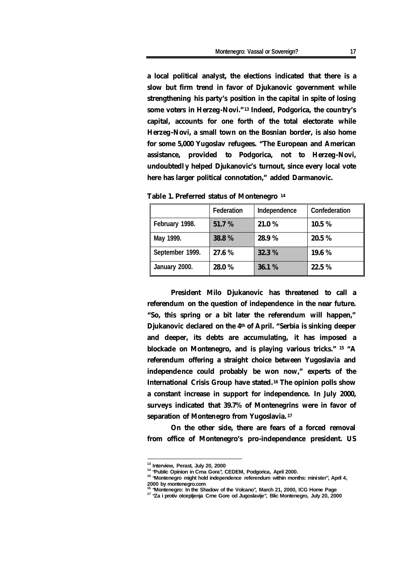**a local political analyst, the elections indicated that there is a slow but firm trend in favor of Djukanovic government while strengthening his party's position in the capital in spite of losing some voters in Herzeg-Novi."<sup>13</sup> Indeed, Podgorica, the country's capital, accounts for one forth of the total electorate while Herzeg-Novi, a small town on the Bosnian border, is also home for some 5,000 Yugoslav refugees. "The European and American assistance, provided to Podgorica, not to Herzeg-Novi, undoubtedl y helped Djukanovic's turnout, since every local vote here has larger political connotation," added Darmanovic.**

|                      | <b>Federation</b> | <b>Independence</b> | <b>Confederation</b> |
|----------------------|-------------------|---------------------|----------------------|
| February 1998.       | 51.7%             | 21.0 %              | 10.5%                |
| <b>May 1999.</b>     | 38.8 %            | 28.9 %              | 20.5 %               |
| September 1999.      | 27.6 %            | 32.3 %              | 19.6 %               |
| <b>January 2000.</b> | 28.0 %            | 36.1%               | 22.5 %               |

**Table 1. Preferred status of Montenegro <sup>14</sup>**

**President Milo Djukanovic has threatened to call a referendum on the question of independence in the near future. "So, this spring or a bit later the referendum will happen," Djukanovic declared on the 4th of April. "Serbia is sinking deeper and deeper, its debts are accumulating, it has imposed a blockade on Montenegro, and is playing various tricks." <sup>15</sup> "A referendum offering a straight choice between Yugoslavia and independence could probably be won now," experts of the International Crisis Group have stated.<sup>16</sup> The opinion polls show a constant increase in support for independence. In July 2000, surveys indicated that 39.7% of Montenegrins were in favor of separation of Montenegro from Yugoslavia. <sup>17</sup>**

**On the other side, there are fears of a forced removal from office of Montenegro's pro-independence president. US** 

**<sup>13</sup> Interview, Perast, July 20, 2000**

**<sup>14</sup> "Public Opinion in Crna Gora", CEDEM, Podgorica, April 2000.**

**<sup>15</sup> "Montenegro might hold independence referendum within months: minister", April 4,** 

**<sup>2000</sup> by montenegro.com <sup>16</sup> "Montenegro: In the Shadow of the Volcano", March 21, 2000, ICG Home Page**

**<sup>17</sup> "Za i protiv otcepljenja Crne Gore od Jugoslavije", Blic Montenegro, July 20, 2000**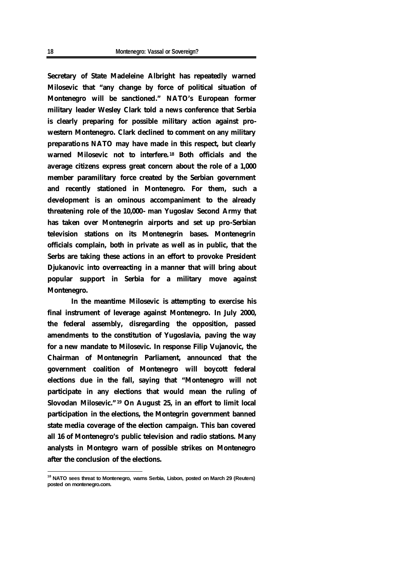**Secretary of State Madeleine Albright has repeatedly warned Milosevic that "any change by force of political situation of Montenegro will be sanctioned." NATO's European former military leader Wesley Clark told a news conference that Serbia is clearly preparing for possible military action against prowestern Montenegro. Clark declined to comment on any military preparations NATO may have made in this respect, but clearly warned Milosevic not to interfere. <sup>18</sup> Both officials and the average citizens express great concern about the role of a 1,000 member paramilitary force created by the Serbian government and recently stationed in Montenegro. For them, such a development is an ominous accompaniment to the already threatening role of the 10,000- man Yugoslav Second Army that has taken over Montenegrin airports and set up pro-Serbian television stations on its Montenegrin bases. Montenegrin officials complain, both in private as well as in public, that the Serbs are taking these actions in an effort to provoke President Djukanovic into overreacting in a manner that will bring about popular support in Serbia for a military move against Montenegro.** 

**In the meantime Milosevic is attempting to exercise his final instrument of leverage against Montenegro. In July 2000, the federal assembly, disregarding the opposition, passed amendments to the constitution of Yugoslavia, paving the way for a new mandate to Milosevic. In response Filip Vujanovic, the Chairman of Montenegrin Parliament, announced that the government coalition of Montenegro will boycott federal elections due in the fall, saying that "Montenegro will not participate in any elections that would mean the ruling of Slovodan Milosevic." <sup>19</sup> On August 25, in an effort to limit local participation in the elections, the Montegrin government banned state media coverage of the election campaign. This ban covered all 16 of Montenegro's public television and radio stations. Many analysts in Montegro warn of possible strikes on Montenegro after the conclusion of the elections.** 

**<sup>18</sup> NATO sees threat to Montenegro, warns Serbia, Lisbon, posted on March 29 (Reuters) posted on montenegro.com.**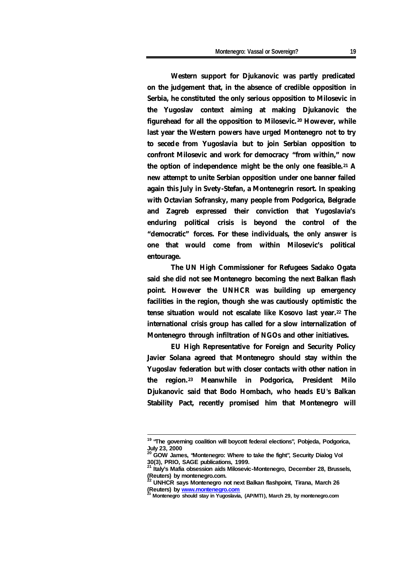**Western support for Djukanovic was partly predicated on the judgement that, in the absence of credible opposition in Serbia, he constituted the only serious opposition to Milosevic in the Yugoslav context aiming at making Djukanovic the figurehead for all the opposition to Milosevic. <sup>20</sup> However, while last year the Western powers have urged Montenegro not to try to secede from Yugoslavia but to join Serbian opposition to confront Milosevic and work for democracy "from within," now the option of independence might be the only one feasible. <sup>21</sup> A new attempt to unite Serbian opposition under one banner failed again this July in Svety-Stefan, a Montenegrin resort. In speaking with Octavian Sofransky, many people from Podgorica, Belgrade and Zagreb expressed their conviction that Yugoslavia's enduring political crisis is beyond the control of the "democratic" forces. For these individuals, the only answer is one that would come from within Milosevic's political entourage.**

**The UN High Commissioner for Refugees Sadako Ogata said she did not see Montenegro becoming the next Balkan flash point. However the UNHCR was building up emergency facilities in the region, though she was cautiously optimistic the tense situation would not escalate like Kosovo last year.<sup>22</sup> The international crisis group has called for a slow internalization of Montenegro through infiltration of NGOs and other initiatives.**

**EU High Representative for Foreign and Security Policy Javier Solana agreed that Montenegro should stay within the Yugoslav federation but with closer contacts with other nation in the region. <sup>23</sup> Meanwhile in Podgorica, President Milo Djukanovic said that Bodo Hombach, who heads EU's Balkan Stability Pact, recently promised him that Montenegro will** 

**<sup>19</sup> "The governing coalition will boycott federal elections", Pobjeda, Podgorica, July 23, 2000**

**<sup>20</sup> GOW James, "Montenegro: Where to take the fight", Security Dialog Vol** 

**<sup>30(3),</sup> PRIO, SAGE publications, 1999. <sup>21</sup> Italy's Mafia obsession aids Milosevic-Montenegro, December 28, Brussels, (Reuters) by montenegro.com.**

**<sup>22</sup> UNHCR says Montenegro not next Balkan flashpoint, Tirana, March 26 (Reuters) by <www.montenegro.com> <sup>23</sup> Montenegro should stay in Yugoslavia, (AP/MTI), March 29, by montenegro.com**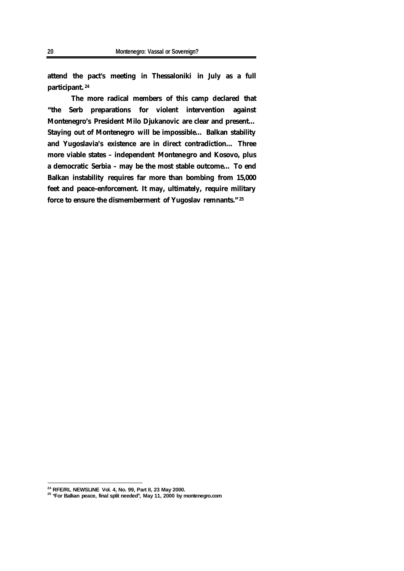**attend the pact's meeting in Thessaloniki in July as a full participant. <sup>24</sup>**

**The more radical members of this camp declared that "the Serb preparations for violent intervention against Montenegro's President Milo Djukanovic are clear and present… Staying out of Montenegro will be impossible… Balkan stability and Yugoslavia's existence are in direct contradiction… Three more viable states – independent Montenegro and Kosovo, plus a democratic Serbia – may be the most stable outcome… To end Balkan instability requires far more than bombing from 15,000 feet and peace-enforcement. It may, ultimately, require military force to ensure the dismemberment of Yugoslav remnants."<sup>25</sup>**

**<sup>24</sup> RFE/RL NEWSLINE Vol. 4, No. 99, Part II, 23 May 2000.**

**<sup>25</sup> "For Balkan peace, final split needed", May 11, 2000 by montenegro.com**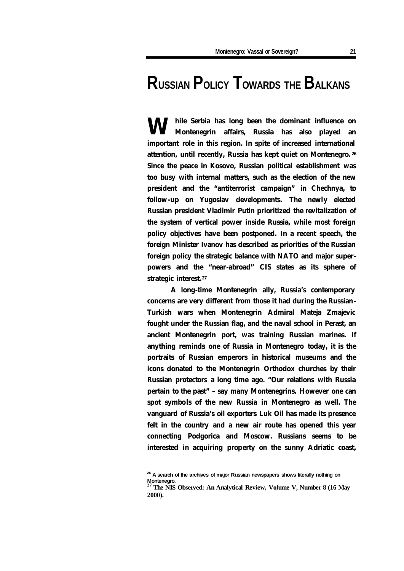#### **RUSSIAN POLICY TOWARDS THE BALKANS**

**hile Serbia has long been the dominant influence on Montenegrin affairs, Russia has also played an important role in this region. In spite of increased international attention, until recently, Russia has kept quiet on Montenegro. <sup>26</sup> Since the peace in Kosovo, Russian political establishment was too busy with internal matters, such as the election of the new president and the "antiterrorist campaign" in Chechnya, to follow-up on Yugoslav developments. The newly elected Russian president Vladimir Putin prioritized the revitalization of the system of vertical power inside Russia, while most foreign policy objectives have been postponed. In a recent speech, the foreign Minister Ivanov has described as priorities of the Russian foreign policy the strategic balance with NATO and major superpowers and the "near-abroad" CIS states as its sphere of strategic interest. <sup>27</sup> W**

**A long-time Montenegrin ally, Russia's contemporary concerns are very different from those it had during the Russian-Turkish wars when Montenegrin Admiral Mateja Zmajevic fought under the Russian flag, and the naval school in Perast, an ancient Montenegrin port, was training Russian marines. If anything reminds one of Russia in Montenegro today, it is the portraits of Russian emperors in historical museums and the icons donated to the Montenegrin Orthodox churches by their Russian protectors a long time ago. "Our relations with Russia pertain to the past" – say many Montenegrins. However one can spot symbols of the new Russia in Montenegro as well. The vanguard of Russia's oil exporters Luk Oil has made its presence felt in the country and a new air route has opened this year connecting Podgorica and Moscow. Russians seems to be interested in acquiring property on the sunny Adriatic coast,** 

**<sup>26</sup> A search of the archives of major Russian newspapers shows literally nothing on Montenegro.**

**<sup>27</sup> The NIS Observed: An Analytical Review, Volume V, Number 8 (16 May 2000).**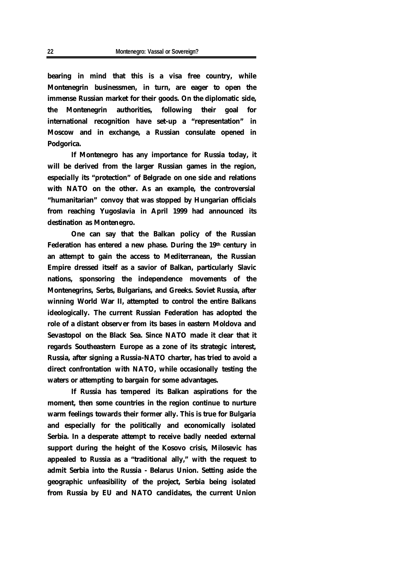**bearing in mind that this is a visa free country, while Montenegrin businessmen, in turn, are eager to open the immense Russian market for their goods. On the diplomatic side, the Montenegrin authorities, following their goal for international recognition have set-up a "representation" in Moscow and in exchange, a Russian consulate opened in Podgorica.** 

**If Montenegro has any importance for Russia today, it will be derived from the larger Russian games in the region, especially its "protection" of Belgrade on one side and relations with NATO on the other. As an example, the controversial "humanitarian" convoy that was stopped by Hungarian officials from reaching Yugoslavia in April 1999 had announced its destination as Montenegro.**

**One can say that the Balkan policy of the Russian Federation has entered a new phase. During the 19th century in an attempt to gain the access to Mediterranean, the Russian Empire dressed itself as a savior of Balkan, particularly Slavic nations, sponsoring the independence movements of the Montenegrins, Serbs, Bulgarians, and Greeks. Soviet Russia, after winning World War II, attempted to control the entire Balkans ideologically. The current Russian Federation has adopted the role of a distant observer from its bases in eastern Moldova and Sevastopol on the Black Sea. Since NATO made it clear that it regards Southeastern Europe as a zone of its strategic interest, Russia, after signing a Russia-NATO charter, has tried to avoid a direct confrontation with NATO, while occasionally testing the waters or attempting to bargain for some advantages.**

**If Russia has tempered its Balkan aspirations for the moment, then some countries in the region continue to nurture warm feelings towards their former ally. This is true for Bulgaria and especially for the politically and economically isolated Serbia. In a desperate attempt to receive badly needed external support during the height of the Kosovo crisis, Milosevic has appealed to Russia as a "traditional ally," with the request to admit Serbia into the Russia - Belarus Union. Setting aside the geographic unfeasibility of the project, Serbia being isolated from Russia by EU and NATO candidates, the current Union**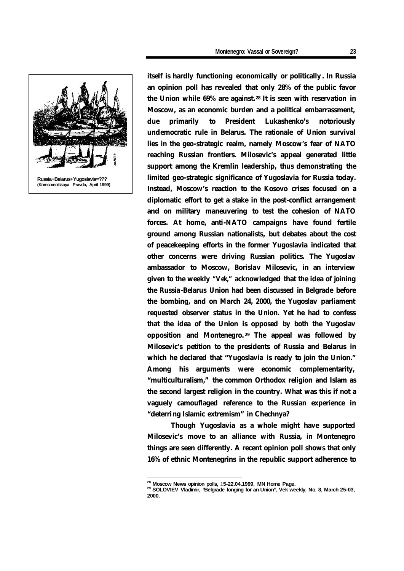

**itself is hardly functioning economically or politically. In Russia an opinion poll has revealed that only 28% of the public favor the Union while 69% are against. <sup>28</sup> It is seen with reservation in Moscow, as an economic burden and a political embarrassment, due primarily to President Lukashenko's notoriously undemocratic rule in Belarus. The rationale of Union survival lies in the geo-strategic realm, namely Moscow's fear of NATO reaching Russian frontiers. Milosevic's appeal generated little support among the Kremlin leadership, thus demonstrating the limited geo-strategic significance of Yugoslavia for Russia today. Instead, Moscow's reaction to the Kosovo crises focused on a diplomatic effort to get a stake in the post-conflict arrangement and on military maneuvering to test the cohesion of NATO forces. At home, anti-NATO campaigns have found fertile ground among Russian nationalists, but debates about the cost of peacekeeping efforts in the former Yugoslavia indicated that other concerns were driving Russian politics. The Yugoslav ambassador to Moscow, Borislav Milosevic, in an interview given to the weekly** *"Vek,"* **acknowledged that the idea of joining the Russia-Belarus Union had been discussed in Belgrade before the bombing, and on March 24, 2000, the Yugoslav parliament requested observer status in the Union. Yet he had to confess that the idea of the Union is opposed by both the Yugoslav opposition and Montenegro. <sup>29</sup> The appeal was followed by Milosevic's petition to the presidents of Russia and Belarus in which he declared that "Yugoslavia is ready to join the Union." Among his arguments were economic complementarity, "multiculturalism," the common Orthodox religion and Islam as the second largest religion in the country. What was this if not a vaguely camouflaged reference to the Russian experience in "deterring Islamic extremism" in Chechnya?**

**Though Yugoslavia as a whole might have supported Milosevic's move to an alliance with Russia, in Montenegro things are seen differently. A recent opinion poll shows that only 16% of ethnic Montenegrins in the republic support adherence to** 

**<sup>28</sup> Moscow News opinion polls, 15-22.04.1999, MN Home Page.**

**<sup>29</sup> SOLOVIEV Vladimir, "Belgrade longing for an Union", Vek weekly, No. 8, March 25-03, 2000.**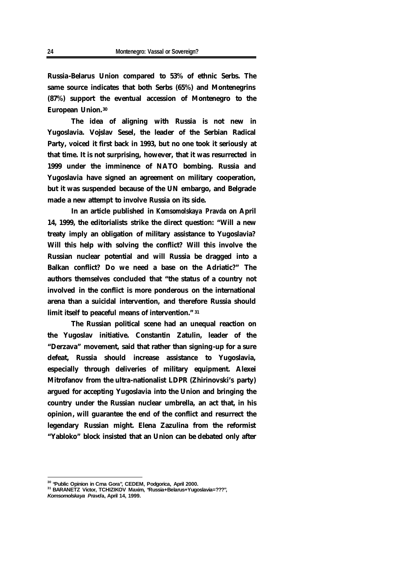**Russia-Belarus Union compared to 53% of ethnic Serbs. The same source indicates that both Serbs (65%) and Montenegrins (87%) support the eventual accession of Montenegro to the European Union.<sup>30</sup>**

**The idea of aligning with Russia is not new in Yugoslavia. Vojslav Sesel, the leader of the Serbian Radical Party, voiced it first back in 1993, but no one took it seriously at that time. It is not surprising, however, that it was resurrected in 1999 under the imminence of NATO bombing. Russia and Yugoslavia have signed an agreement on military cooperation, but it was suspended because of the UN embargo, and Belgrade made a new attempt to involve Russia on its side.**

**In an article published in** *Komsomolskaya Pravda* **on April 14, 1999, the editorialists strike the direct question: "Will a new treaty imply an obligation of military assistance to Yugoslavia? Will this help with solving the conflict? Will this involve the Russian nuclear potential and will Russia be dragged into a Balkan conflict? Do we need a base on the Adriatic?" The authors themselves concluded that "the status of a country not involved in the conflict is more ponderous on the international arena than a suicidal intervention, and therefore Russia should limit itself to peaceful means of intervention." <sup>31</sup>**

**The Russian political scene had an unequal reaction on the Yugoslav initiative. Constantin Zatulin, leader of the "Derzava" movement, said that rather than signing-up for a sure defeat, Russia should increase assistance to Yugoslavia, especially through deliveries of military equipment. Alexei Mitrofanov from the ultra-nationalist LDPR (Zhirinovski's party) argued for accepting Yugoslavia into the Union and bringing the country under the Russian nuclear umbrella, an act that, in his opinion, will guarantee the end of the conflict and resurrect the legendary Russian might. Elena Zazulina from the reformist "Yabloko" block insisted that an Union can be debated only after** 

**<sup>30</sup> "Public Opinion in Crna Gora", CEDEM, Podgorica, April 2000.**

**<sup>31</sup> BARANETZ Victor, TCHIZIKOV Maxim, "Russia+Belarus+Yugoslavia=???",** 

*Komsomolskaya Pravd***a, April 14, 1999.**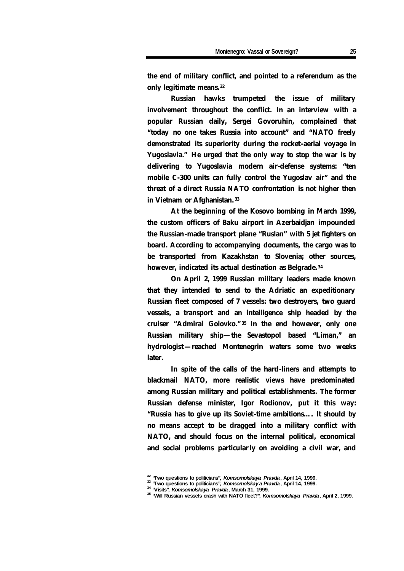**the end of military conflict, and pointed to a referendum as the only legitimate means.<sup>32</sup>**

**Russian hawks trumpeted the issue of military involvement throughout the conflict. In an interview with a popular Russian daily, Sergei Govoruhin, complained that "today no one takes Russia into account" and "NATO freely demonstrated its superiority during the rocket-aerial voyage in Yugoslavia." He urged that the only way to stop the war is by delivering to Yugoslavia modern air-defense systems: "ten mobile C-300 units can fully control the Yugoslav air" and the threat of a direct Russia NATO confrontation is not higher then in Vietnam or Afghanistan. <sup>33</sup>**

**At the beginning of the Kosovo bombing in March 1999, the custom officers of Baku airport in Azerbaidjan impounded the Russian-made transport plane "Ruslan" with 5 jet fighters on board. According to accompanying documents, the cargo was to be transported from Kazakhstan to Slovenia; other sources, however, indicated its actual destination as Belgrade. <sup>34</sup>**

**On April 2, 1999 Russian military leaders made known that they intended to send to the Adriatic an expeditionary Russian fleet composed of 7 vessels: two destroyers, two guard vessels, a transport and an intelligence ship headed by the cruiser "Admiral Golovko."<sup>35</sup> In the end however, only one Russian military ship—the Sevastopol based "Liman," an hydrologist—reached Montenegrin waters some two weeks later.**

**In spite of the calls of the hard-liners and attempts to blackmail NATO, more realistic views have predominated among Russian military and political establishments. The former Russian defense minister, Igor Rodionov, put it this way: "Russia has to give up its Soviet-time ambitions…. It should by no means accept to be dragged into a military conflict with NATO, and should focus on the internal political, economical**  and social problems particularly on avoiding a civil war, and

**<sup>32</sup> "Two questions to politicians",** *Komsomolskaya Pravda***, April 14, 1999.**

**<sup>33</sup> "Two questions to politicians",** *Komsomolskay a Pravda***, April 14, 1999.**

**<sup>34</sup> "Visits",** *Komsomolskaya Pravda***, March 31, 1999.**

**<sup>35</sup> "Will Russian vessels crash with NATO fleet?",** *Komsomolskaya Pravda***, April 2, 1999.**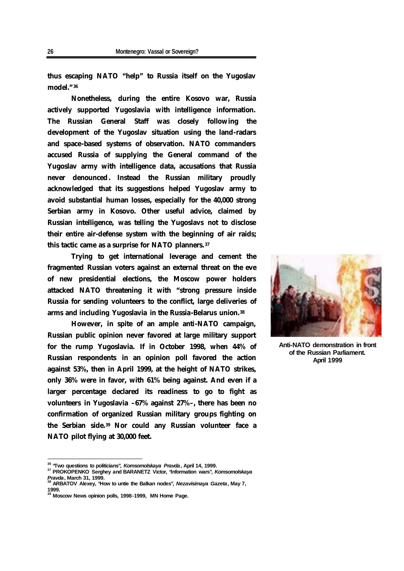**thus escaping NATO "help" to Russia itself on the Yugoslav model."<sup>36</sup>**

**Nonetheless, during the entire Kosovo war, Russia actively supported Yugoslavia with intelligence information. The Russian General Staff was closely following the development of the Yugoslav situation using the land-radars and space-based systems of observation. NATO commanders accused Russia of supplying the General command of the Yugoslav army with intelligence data, accusations that Russia never denounced. Instead the Russian military proudly acknowledged that its suggestions helped Yugoslav army to avoid substantial human losses, especially for the 40,000 strong Serbian army in Kosovo. Other useful advice, claimed by Russian intelligence, was telling the Yugoslavs not to disclose their entire air-defense system with the beginning of air raids; this tactic came as a surprise for NATO planners. <sup>37</sup>**

**Trying to get international leverage and cement the fragmented Russian voters against an external threat on the eve of new presidential elections, the Moscow power holders attacked NATO threatening it with "strong pressure inside Russia for sending volunteers to the conflict, large deliveries of arms and including Yugoslavia in the Russia-Belarus union.<sup>38</sup>**

**However, in spite of an ample anti-NATO campaign, Russian public opinion never favored at large military support for the rump Yugoslavia. If in October 1998, when 44% of Russian respondents in an opinion poll favored the action against 53%, then in April 1999, at the height of NATO strikes, only 36% were in favor, with 61% being against. And even if a larger percentage declared its readiness to go to fight as volunteers in Yugoslavia –67% against 27%–, there has been no confirmation of organized Russian military groups fighting on the Serbian side.<sup>39</sup> Nor could any Russian volunteer face a NATO pilot flying at 30,000 feet.**



**Anti-NATO demonstration in front of the Russian Parliament. April 1999**

**<sup>36</sup> "Two questions to politicians",** *Komsomolskaya Pravda***, April 14, 1999.**

**<sup>37</sup> PROKOPENKO Serghey and BARANETZ Victor, "Information wars",** *Komsomolskaya Pravda***, March 31, 1999.**

**<sup>38</sup> ARBATOV Alexey, "How to untie the Balkan nodes",** *Nezavisimaya Gazeta***, May 7, 1999.**

**<sup>39</sup> Moscow News opinion polls, 1998-1999, MN Home Page.**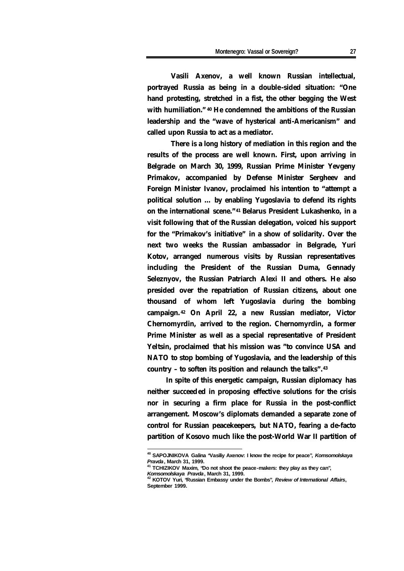**Vasili Axenov, a well known Russian intellectual, portrayed Russia as being in a double-sided situation: "One hand protesting, stretched in a fist, the other begging the West with humiliation." <sup>40</sup> He condemned the ambitions of the Russian leadership and the "wave of hysterical anti-Americanism" and called upon Russia to act as a mediator.**

**There is a long history of mediation in this region and the results of the process are well known. First, upon arriving in Belgrade on March 30, 1999, Russian Prime Minister Yevgeny Primakov, accompanied by Defense Minister Sergheev and Foreign Minister Ivanov, proclaimed his intention to "attempt a political solution … by enabling Yugoslavia to defend its rights on the international scene."<sup>41</sup> Belarus President Lukashenko, in a visit following that of the Russian delegation, voiced his support for the "Primakov's initiative" in a show of solidarity. Over the next two weeks the Russian ambassador in Belgrade, Yuri Kotov, arranged numerous visits by Russian representatives including the President of the Russian Duma, Gennady Seleznyov, the Russian Patriarch Alexi II and others. He also presided over the repatriation of Russian citizens, about one thousand of whom left Yugoslavia during the bombing campaign. <sup>42</sup> On April 22, a new Russian mediator, Victor Chernomyrdin, arrived to the region. Chernomyrdin, a former Prime Minister as well as a special representative of President Yeltsin, proclaimed that his mission was "to convince USA and NATO to stop bombing of Yugoslavia, and the leadership of this country – to soften its position and relaunch the talks".<sup>43</sup>**

**In spite of this energetic campaign, Russian diplomacy has neither succeeded in proposing effective solutions for the crisis nor in securing a firm place for Russia in the post-conflict arrangement. Moscow's diplomats demanded a separate zone of control for Russian peacekeepers, but NATO, fearing a de-facto partition of Kosovo much like the post-World War II partition of** 

**<sup>40</sup> SAPOJNIKOVA Galina "Vasiliy Axenov: I know the recipe for peace",** *Komsomolskaya Pravda***, March 31, 1999.**

**<sup>41</sup> TCHIZIKOV Maxim, "Do not shoot the peace-makers: they play as they can",** 

*Komsomolskaya Pravda***, March 31, 1999.**

**<sup>42</sup> KOTOV Yuri, "Russian Embassy under the Bombs",** *Review of International Affairs***, September 1999.**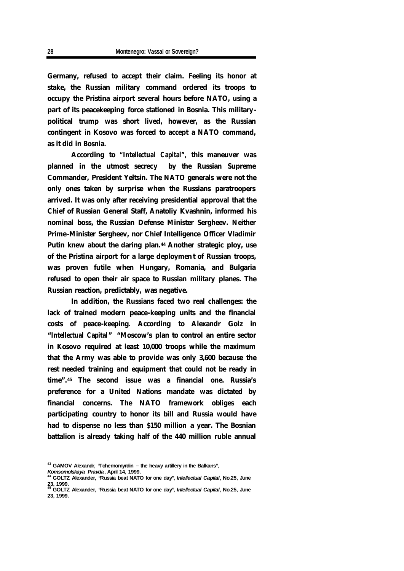**Germany, refused to accept their claim. Feeling its honor at stake, the Russian military command ordered its troops to occupy the Pristina airport several hours before NATO, using a part of its peacekeeping force stationed in Bosnia. This militarypolitical trump was short lived, however, as the Russian contingent in Kosovo was forced to accept a NATO command, as it did in Bosnia.** 

**According to** *"Intellectual Capital",* **this maneuver was planned in the utmost secrecy by the Russian Supreme Commander, President Yeltsin. The NATO generals were not the only ones taken by surprise when the Russians paratroopers arrived. It was only after receiving presidential approval that the Chief of Russian General Staff, Anatoliy Kvashnin, informed his nominal boss, the Russian Defense Minister Sergheev. Neither Prime-Minister Sergheev, nor Chief Intelligence Officer Vladimir Putin knew about the daring plan.<sup>44</sup> Another strategic ploy, use of the Pristina airport for a large deployment of Russian troops, was proven futile when Hungary, Romania, and Bulgaria refused to open their air space to Russian military planes. The Russian reaction, predictably, was negative.** 

**In addition, the Russians faced two real challenges: the lack of trained modern peace-keeping units and the financial costs of peace-keeping. According to Alexandr Golz in "***Intellectual Capital***" "Moscow's plan to control an entire sector in Kosovo required at least 10,000 troops while the maximum that the Army was able to provide was only 3,600 because the rest needed training and equipment that could not be ready in time".<sup>45</sup> The second issue was a financial one. Russia's preference for a United Nations mandate was dictated by financial concerns. The NATO framework obliges each participating country to honor its bill and Russia would have had to dispense no less than \$150 million a year. The Bosnian battalion is already taking half of the 440 million ruble annual** 

**<sup>43</sup> GAMOV Alexandr, "Tchernomyrdin – the heavy artillery in the Balkans",** 

*Komsomolskaya Pravda***, April 14, 1999. <sup>44</sup> GOLTZ Alexander, "Russia beat NATO for one day",** *Intellectual Capital***, No.25, June 23, 1999. <sup>45</sup> GOLTZ Alexander, "Russia beat NATO for one day",** *Intellectual Capital***, No.25, June** 

**<sup>23, 1999.</sup>**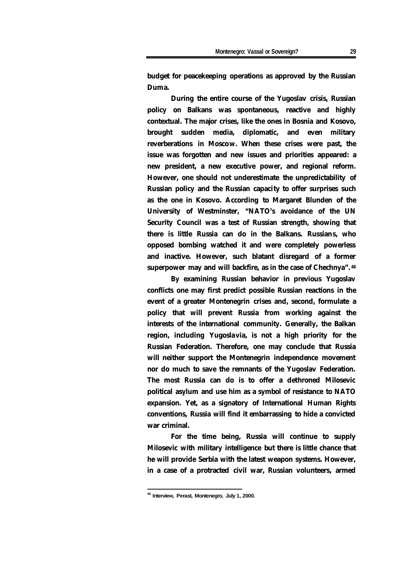**budget for peacekeeping operations as approved by the Russian Duma.**

**During the entire course of the Yugoslav crisis, Russian policy on Balkans was spontaneous, reactive and highly contextual. The major crises, like the ones in Bosnia and Kosovo, brought sudden media, diplomatic, and even military reverberations in Moscow. When these crises were past, the issue was forgotten and new issues and priorities appeared: a new president, a new executive power, and regional reform. However, one should not underestimate the unpredictability of Russian policy and the Russian capacity to offer surprises such as the one in Kosovo. According to Margaret Blunden of the University of Westminster, "NATO's avoidance of the UN Security Council was a test of Russian strength, showing that there is little Russia can do in the Balkans. Russians, who opposed bombing watched it and were completely powerless and inactive. However, such blatant disregard of a former superpower may and will backfire, as in the case of Chechnya". <sup>46</sup>**

**By examining Russian behavior in previous Yugoslav conflicts one may first predict possible Russian reactions in the event of a greater Montenegrin crises and, second, formulate a policy that will prevent Russia from working against the interests of the international community. Generally, the Balkan region, including Yugoslavia, is not a high priority for the Russian Federation. Therefore, one may conclude that Russia will neither support the Montenegrin independence movement nor do much to save the remnants of the Yugoslav Federation. The most Russia can do is to offer a dethroned Milosevic political asylum and use him as a symbol of resistance to NATO expansion. Yet, as a signatory of International Human Rights conventions, Russia will find it embarrassing to hide a convicted war criminal.** 

**For the time being, Russia will continue to supply Milosevic with military intelligence but there is little chance that he will provide Serbia with the latest weapon systems. However, in a case of a protracted civil war, Russian volunteers, armed** 

**<sup>46</sup> Interview, Perast, Montenegro, July 1, 2000.**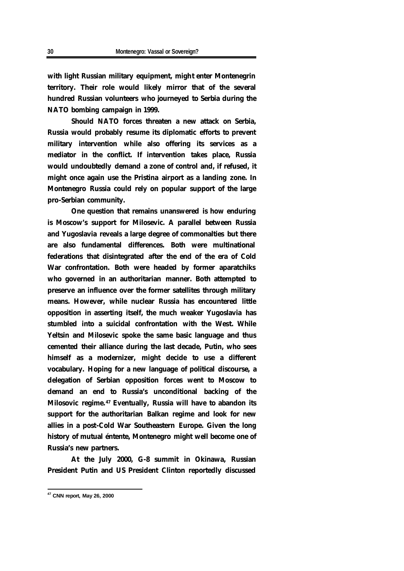**with light Russian military equipment, might enter Montenegrin territory. Their role would likely mirror that of the several hundred Russian volunteers who journeyed to Serbia during the NATO bombing campaign in 1999.**

**Should NATO forces threaten a new attack on Serbia, Russia would probably resume its diplomatic efforts to prevent military intervention while also offering its services as a mediator in the conflict. If intervention takes place, Russia would undoubtedly demand a zone of control and, if refused, it might once again use the Pristina airport as a landing zone. In Montenegro Russia could rely on popular support of the large pro-Serbian community.**

**One question that remains unanswered is how enduring is Moscow's support for Milosevic. A parallel between Russia and Yugoslavia reveals a large degree of commonalties but there are also fundamental differences. Both were multinational federations that disintegrated after the end of the era of Cold War confrontation. Both were headed by former aparatchiks who governed in an authoritarian manner. Both attempted to preserve an influence over the former satellites through military means. However, while nuclear Russia has encountered little opposition in asserting itself, the much weaker Yugoslavia has stumbled into a suicidal confrontation with the West. While Yeltsin and Milosevic spoke the same basic language and thus cemented their alliance during the last decade, Putin, who sees himself as a modernizer, might decide to use a different vocabulary. Hoping for a new language of political discourse, a delegation of Serbian opposition forces went to Moscow to demand an end to Russia's unconditional backing of the Milosovic regime. <sup>47</sup> Eventually, Russia will have to abandon its support for the authoritarian Balkan regime and look for new allies in a post-Cold War Southeastern Europe. Given the long history of mutual éntente, Montenegro might well become one of Russia's new partners.** 

**At the July 2000, G-8 summit in Okinawa, Russian President Putin and US President Clinton reportedly discussed** 

**<sup>47</sup> CNN report, May 26, 2000**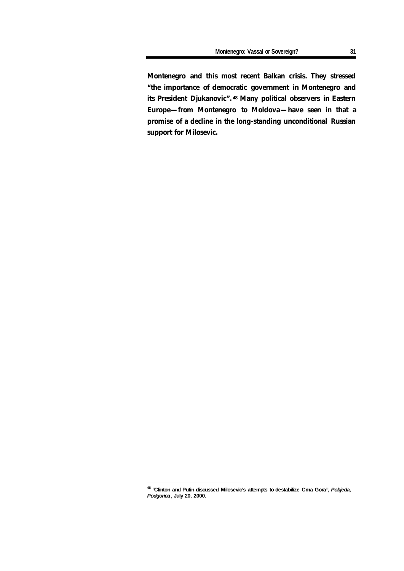**Montenegro and this most recent Balkan crisis. They stressed "the importance of democratic government in Montenegro and its President Djukanovic". <sup>48</sup> Many political observers in Eastern Europe—from Montenegro to Moldova—have seen in that a promise of a decline in the long-standing unconditional Russian support for Milosevic.** 

**<sup>48</sup> "Clinton and Putin discussed Milosevic's attempts to destabilize Crna Gora",** *Pobjeda, Podgorica* **, July 20, 2000.**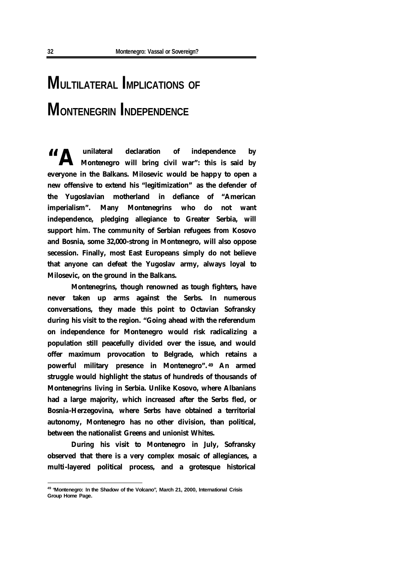# **MULTILATERAL IMPLICATIONS OF MONTENEGRIN INDEPENDENCE**

**unilateral declaration of independence by Montenegro will bring civil war": this is said by everyone in the Balkans. Milosevic would be happy to open a new offensive to extend his "legitimization" as the defender of the Yugoslavian motherland in defiance of "American imperialism". Many Montenegrins who do not want independence, pledging allegiance to Greater Serbia, will support him. The community of Serbian refugees from Kosovo and Bosnia, some 32,000-strong in Montenegro, will also oppose secession. Finally, most East Europeans simply do not believe that anyone can defeat the Yugoslav army, always loyal to Milosevic, on the ground in the Balkans. "A**

**Montenegrins, though renowned as tough fighters, have never taken up arms against the Serbs. In numerous conversations, they made this point to Octavian Sofransky during his visit to the region. "Going ahead with the referendum on independence for Montenegro would risk radicalizing a population still peacefully divided over the issue, and would offer maximum provocation to Belgrade, which retains a powerful military presence in Montenegro". <sup>49</sup> An armed struggle would highlight the status of hundreds of thousands of Montenegrins living in Serbia. Unlike Kosovo, where Albanians had a large majority, which increased after the Serbs fled, or Bosnia-Herzegovina, where Serbs have obtained a territorial autonomy, Montenegro has no other division, than political, between the nationalist Greens and unionist Whites.** 

**During his visit to Montenegro in July, Sofransky observed that there is a very complex mosaic of allegiances, a multi-layered political process, and a grotesque historical** 

**<sup>49</sup> "Montenegro: In the Shadow of the Volcano", March 21, 2000, International Crisis Group Home Page.**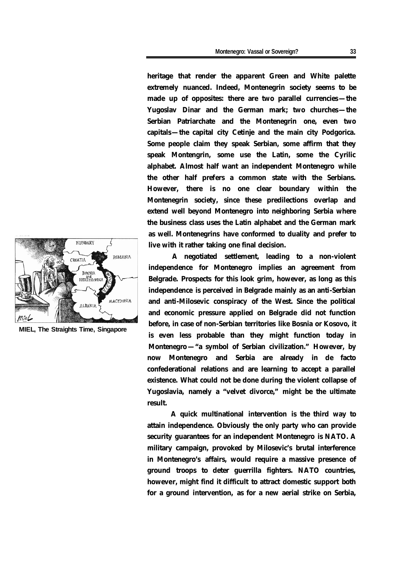**HUNGARY** ROMANIA CROATIA BOSNIA<br>HERZEGOVINA MACEDONIA ALBANIA miel

**MIEL, The Straights Time, Singapore**

**heritage that render the apparent Green and White palette extremely nuanced. Indeed, Montenegrin society seems to be made up of opposites: there are two parallel currencies—the Yugoslav Dinar and the German mark; two churches—the Serbian Patriarchate and the Montenegrin one, even two capitals—the capital city Cetinje and the main city Podgorica. Some people claim they speak Serbian, some affirm that they speak Montengrin, some use the Latin, some the Cyrilic alphabet. Almost half want an independent Montenegro while the other half prefers a common state with the Serbians. However, there is no one clear boundary within the Montenegrin society, since these predilections overlap and extend well beyond Montenegro into neighboring Serbia where the business class uses the Latin alphabet and the German mark as well. Montenegrins have conformed to duality and prefer to live with it rather taking one final decision.**

**A negotiated settlement, leading to a non-violent independence for Montenegro implies an agreement from Belgrade. Prospects for this look grim, however, as long as this independence is perceived in Belgrade mainly as an anti-Serbian and anti-Milosevic conspiracy of the West. Since the political and economic pressure applied on Belgrade did not function before, in case of non-Serbian territories like Bosnia or Kosovo, it is even less probable than they might function today in Montenegro—"a symbol of Serbian civilization." However, by now Montenegro and Serbia are already in de facto confederational relations and are learning to accept a parallel existence. What could not be done during the violent collapse of Yugoslavia, namely a "velvet divorce," might be the ultimate result.**

**A quick multinational intervention is the third way to attain independence. Obviously the only party who can provide security guarantees for an independent Montenegro is NATO. A military campaign, provoked by Milosevic's brutal interference in Montenegro's affairs, would require a massive presence of ground troops to deter guerrilla fighters. NATO countries, however, might find it difficult to attract domestic support both for a ground intervention, as for a new aerial strike on Serbia,**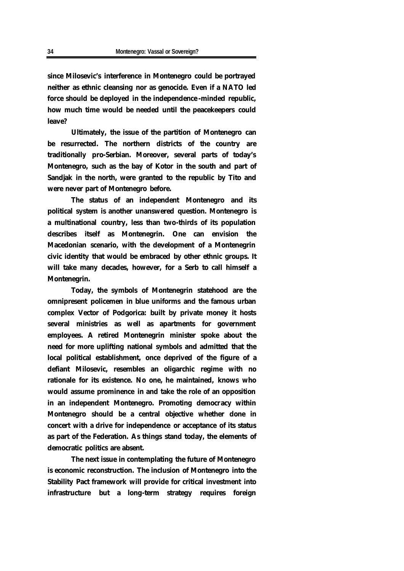**since Milosevic's interference in Montenegro could be portrayed neither as ethnic cleansing nor as genocide. Even if a NATO led force should be deployed in the independence -minded republic, how much time would be needed until the peacekeepers could leave?**

**Ultimately, the issue of the partition of Montenegro can be resurrected. The northern districts of the country are traditionally pro-Serbian. Moreover, several parts of today's Montenegro, such as the bay of Kotor in the south and part of Sandjak in the north, were granted to the republic by Tito and were never part of Montenegro before.** 

**The status of an independent Montenegro and its political system is another unanswered question. Montenegro is a multinational country, less than two-thirds of its population describes itself as Montenegrin. One can envision the Macedonian scenario, with the development of a Montenegrin civic identity that would be embraced by other ethnic groups. It will take many decades, however, for a Serb to call himself a Montenegrin.**

**Today, the symbols of Montenegrin statehood are the omnipresent policemen in blue uniforms and the famous urban complex Vector of Podgorica: built by private money it hosts several ministries as well as apartments for government employees. A retired Montenegrin minister spoke about the need for more uplifting national symbols and admitted that the local political establishment, once deprived of the figure of a defiant Milosevic, resembles an oligarchic regime with no rationale for its existence. No one, he maintained, knows who would assume prominence in and take the role of an opposition in an independent Montenegro. Promoting democracy within Montenegro should be a central objective whether done in concert with a drive for independence or acceptance of its status as part of the Federation. As things stand today, the elements of democratic politics are absent.**

**The next issue in contemplating the future of Montenegro is economic reconstruction. The inclusion of Montenegro into the Stability Pact framework will provide for critical investment into infrastructure but a long-term strategy requires foreign**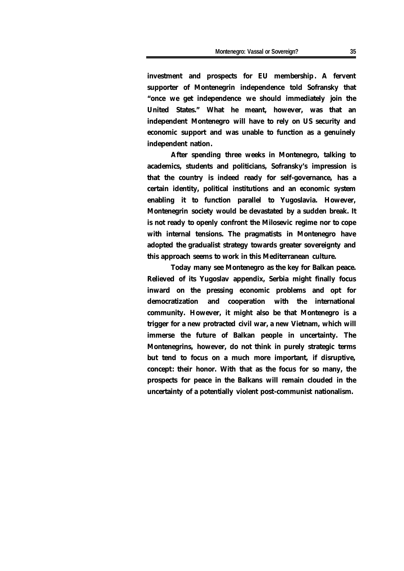**investment and prospects for EU membership. A fervent supporter of Montenegrin independence told Sofransky that "once we get independence we should immediately join the United States." What he meant, however, was that an independent Montenegro will have to rely on US security and economic support and was unable to function as a genuinely independent nation.** 

**After spending three weeks in Montenegro, talking to academics, students and politicians, Sofransky's impression is that the country is indeed ready for self-governance, has a certain identity, political institutions and an economic system enabling it to function parallel to Yugoslavia. However, Montenegrin society would be devastated by a sudden break. It is not ready to openly confront the Milosevic regime nor to cope with internal tensions. The pragmatists in Montenegro have adopted the gradualist strategy towards greater sovereignty and this approach seems to work in this Mediterranean culture.**

**Today many see Montenegro as the key for Balkan peace. Relieved of its Yugoslav appendix, Serbia might finally focus inward on the pressing economic problems and opt for democratization and cooperation with the international community. However, it might also be that Montenegro is a trigger for a new protracted civil war, a new Vietnam, which will immerse the future of Balkan people in uncertainty. The Montenegrins, however, do not think in purely strategic terms but tend to focus on a much more important, if disruptive, concept: their honor. With that as the focus for so many, the prospects for peace in the Balkans will remain clouded in the uncertainty of a potentially violent post-communist nationalism.**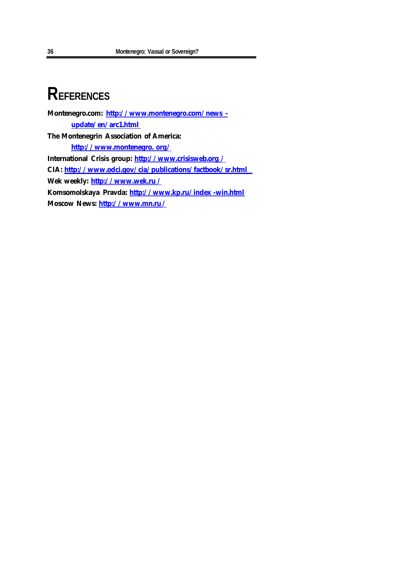## **REFERENCES**

**Montenegro.com: [http://www.montenegro.com/news](http://www.montenegro.com/news-) update/en/arc1.html The Montenegrin Association of America: [http://www.montenegro.](http://www.montenegro.org) org/ International Crisis group: <http://www.crisisweb.org> / CIA: <http://www.odci.gov/cia/publications/factbook/sr.html> Wek weekly: <http://www.wek.ru> / Komsomolskaya Pravda: [http://www.kp.ru/index](http://www.kp.ru/index-win.html) -win.html Moscow News: <http://www.mn.ru>/**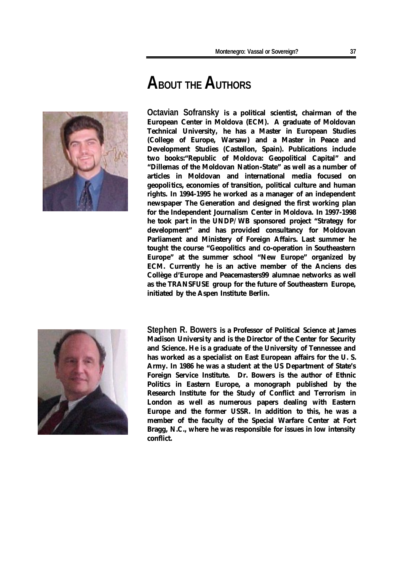

### **ABOUT THE AUTHORS**

**Octavian Sofransky is a political scientist, chairman of the European Center in Moldova (ECM). A graduate of Moldovan Technical University, he has a Master in European Studies (College of Europe, Warsaw) and a Master in Peace and Development Studies (Castellon, Spain). Publications include two books:"Republic of Moldova: Geopolitical Capital" and "Dillemas of the Moldovan Nation-State" as well as a number of articles in Moldovan and international media focused on geopolitics, economies of transition, political culture and human rights. In 1994-1995 he worked as a manager of an independent newspaper The Generation and designed the first working plan for the Independent Journalism Center in Moldova. In 1997-1998 he took part in the UNDP/WB sponsored project "Strategy for development" and has provided consultancy for Moldovan Parliament and Ministery of Foreign Affairs. Last summer he tought the course "Geopolitics and co-operation in Southeastern Europe" at the summer school "New Europe" organized by ECM. Currently he is an active member of the Anciens des Collège d'Europe and Peacemasters99 alumnae networks as well as the TRANSFUSE group for the future of Southeastern Europe, initiated by the Aspen Institute Berlin.**



**Stephen R. Bowers is a Professor of Political Science at James Madison University and is the Director of the Center for Security and Science. He is a graduate of the University of Tennessee and has worked as a specialist on East European affairs for the U. S. Army. In 1986 he was a student at the US Department of State's Foreign Service Institute. Dr. Bowers is the author of Ethnic Politics in Eastern Europe, a monograph published by the Research Institute for the Study of Conflict and Terrorism in London as well as numerous papers dealing with Eastern Europe and the former USSR. In addition to this, he was a member of the faculty of the Special Warfare Center at Fort Bragg, N.C., where he was responsible for issues in low intensity conflict.**